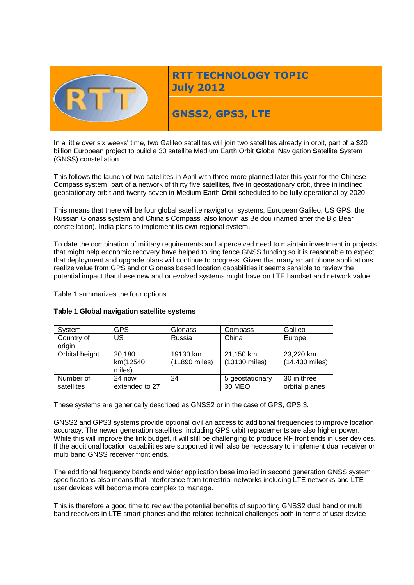

**RTT TECHNOLOGY TOPIC July 2012**

# **GNSS2, GPS3, LTE**

In a little over six weeks' time, two Galileo satellites will join two satellites already in orbit, part of a \$20 billion European project to build a 30 satellite Medium Earth Orbit **G**lobal **N**avigation **S**atellite **S**ystem (GNSS) constellation.

This follows the launch of two satellites in April with three more planned later this year for the Chinese Compass system, part of a network of thirty five satellites, five in geostationary orbit, three in inclined geostationary orbit and twenty seven in **M**edium **E**arth **O**rbit scheduled to be fully operational by 2020.

This means that there will be four global satellite navigation systems, European Galileo, US GPS, the Russian Glonass system and China's Compass, also known as Beidou (named after the Big Bear constellation). India plans to implement its own regional system.

To date the combination of military requirements and a perceived need to maintain investment in projects that might help economic recovery have helped to ring fence GNSS funding so it is reasonable to expect that deployment and upgrade plans will continue to progress. Given that many smart phone applications realize value from GPS and or Glonass based location capabilities it seems sensible to review the potential impact that these new and or evolved systems might have on LTE handset and network value.

Table 1 summarizes the four options.

| System                  | <b>GPS</b>                   | Glonass                   | Compass                    | Galileo                       |
|-------------------------|------------------------------|---------------------------|----------------------------|-------------------------------|
| Country of<br>origin    | US                           | Russia                    | China                      | Europe                        |
| Orbital height          | 20,180<br>km(12540<br>miles) | 19130 km<br>(11890 miles) | 21,150 km<br>(13130 miles) | 23,220 km<br>(14,430 miles)   |
| Number of<br>satellites | 24 now<br>extended to 27     | 24                        | 5 geostationary<br>30 MEO  | 30 in three<br>orbital planes |

### **Table 1 Global navigation satellite systems**

These systems are generically described as GNSS2 or in the case of GPS, GPS 3.

GNSS2 and GPS3 systems provide optional civilian access to additional frequencies to improve location accuracy. The newer generation satellites, including GPS orbit replacements are also higher power. While this will improve the link budget, it will still be challenging to produce RF front ends in user devices. If the additional location capabilities are supported it will also be necessary to implement dual receiver or multi band GNSS receiver front ends.

The additional frequency bands and wider application base implied in second generation GNSS system specifications also means that interference from terrestrial networks including LTE networks and LTE user devices will become more complex to manage.

This is therefore a good time to review the potential benefits of supporting GNSS2 dual band or multi band receivers in LTE smart phones and the related technical challenges both in terms of user device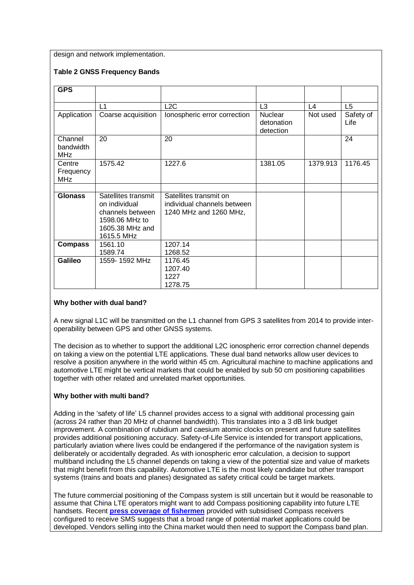design and network implementation.

## **Table 2 GNSS Frequency Bands**

| GPS                               |                                                                                                             |                                                                                 |                                           |               |                   |
|-----------------------------------|-------------------------------------------------------------------------------------------------------------|---------------------------------------------------------------------------------|-------------------------------------------|---------------|-------------------|
|                                   | $\overline{11}$                                                                                             | L2C                                                                             | L <sub>3</sub>                            | $\mathsf{L}4$ | L <sub>5</sub>    |
| Application                       | Coarse acquisition                                                                                          | Ionospheric error correction                                                    | <b>Nuclear</b><br>detonation<br>detection | Not used      | Safety of<br>Life |
| Channel<br>bandwidth<br>MHz       | 20                                                                                                          | 20                                                                              |                                           |               | 24                |
| Centre<br>Frequency<br><b>MHz</b> | 1575.42                                                                                                     | 1227.6                                                                          | 1381.05                                   | 1379.913      | 1176.45           |
| <b>Glonass</b>                    | Satellites transmit<br>on individual<br>channels between<br>1598.06 MHz to<br>1605.38 MHz and<br>1615.5 MHz | Satellites transmit on<br>individual channels between<br>1240 MHz and 1260 MHz, |                                           |               |                   |
| <b>Compass</b>                    | 1561.10<br>1589.74                                                                                          | 1207.14<br>1268.52                                                              |                                           |               |                   |
| <b>Galileo</b>                    | 1559-1592 MHz                                                                                               | 1176.45<br>1207.40<br>1227<br>1278.75                                           |                                           |               |                   |

### **Why bother with dual band?**

A new signal L1C will be transmitted on the L1 channel from GPS 3 satellites from 2014 to provide interoperability between GPS and other GNSS systems.

The decision as to whether to support the additional L2C ionospheric error correction channel depends on taking a view on the potential LTE applications. These dual band networks allow user devices to resolve a position anywhere in the world within 45 cm. Agricultural machine to machine applications and automotive LTE might be vertical markets that could be enabled by sub 50 cm positioning capabilities together with other related and unrelated market opportunities.

### **Why bother with multi band?**

Adding in the 'safety of life' L5 channel provides access to a signal with additional processing gain (across 24 rather than 20 MHz of channel bandwidth). This translates into a 3 dB link budget improvement. A combination of rubidium and caesium atomic clocks on present and future satellites provides additional positioning accuracy. Safety-of-Life Service is intended for transport applications, particularly aviation where lives could be endangered if the performance of the navigation system is deliberately or accidentally degraded. As with ionospheric error calculation, a decision to support multiband including the L5 channel depends on taking a view of the potential size and value of markets that might benefit from this capability. Automotive LTE is the most likely candidate but other transport systems (trains and boats and planes) designated as safety critical could be target markets.

The future commercial positioning of the Compass system is still uncertain but it would be reasonable to assume that China LTE operators might want to add Compass positioning capability into future LTE handsets. Recent **[press coverage of](http://news.xinhuanet.com/english/china/2012-05/17/c_131594665.htm) fishermen** provided with subsidised Compass receivers configured to receive SMS suggests that a broad range of potential market applications could be developed. Vendors selling into the China market would then need to support the Compass band plan.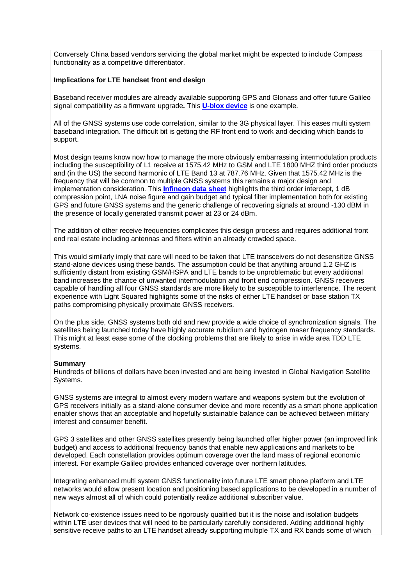Conversely China based vendors servicing the global market might be expected to include Compass functionality as a competitive differentiator.

#### **Implications for LTE handset front end design**

Baseband receiver modules are already available supporting GPS and Glonass and offer future Galileo signal compatibility as a firmware upgrade**.** This **[U-blox device](http://www.infineon.com/dgdl/AN267.pdf?folderId=db3a304313b8b5a60113d4239297042f&fileId=db3a3043327f13e30132a509789d4359)** is one example.

All of the GNSS systems use code correlation, similar to the 3G physical layer. This eases multi system baseband integration. The difficult bit is getting the RF front end to work and deciding which bands to support.

Most design teams know now how to manage the more obviously embarrassing intermodulation products including the susceptibility of L1 receive at 1575.42 MHz to GSM and LTE 1800 MHZ third order products and (in the US) the second harmonic of LTE Band 13 at 787.76 MHz. Given that 1575.42 MHz is the frequency that will be common to multiple GNSS systems this remains a major design and implementation consideration. This **[Infineon data sheet](http://www.infineon.com/dgdl/AN267.pdf?folderId=db3a304313b8b5a60113d4239297042f&fileId=db3a3043327f13e30132a509789d4359)** highlights the third order intercept, 1 dB compression point, LNA noise figure and gain budget and typical filter implementation both for existing GPS and future GNSS systems and the generic challenge of recovering signals at around -130 dBM in the presence of locally generated transmit power at 23 or 24 dBm.

The addition of other receive frequencies complicates this design process and requires additional front end real estate including antennas and filters within an already crowded space.

This would similarly imply that care will need to be taken that LTE transceivers do not desensitize GNSS stand-alone devices using these bands. The assumption could be that anything around 1.2 GHZ is sufficiently distant from existing GSM/HSPA and LTE bands to be unproblematic but every additional band increases the chance of unwanted intermodulation and front end compression. GNSS receivers capable of handling all four GNSS standards are more likely to be susceptible to interference. The recent experience with Light Squared highlights some of the risks of either LTE handset or base station TX paths compromising physically proximate GNSS receivers.

On the plus side, GNSS systems both old and new provide a wide choice of synchronization signals. The satellites being launched today have highly accurate rubidium and hydrogen maser frequency standards. This might at least ease some of the clocking problems that are likely to arise in wide area TDD LTE systems.

#### **Summary**

Hundreds of billions of dollars have been invested and are being invested in Global Navigation Satellite Systems.

GNSS systems are integral to almost every modern warfare and weapons system but the evolution of GPS receivers initially as a stand-alone consumer device and more recently as a smart phone application enabler shows that an acceptable and hopefully sustainable balance can be achieved between military interest and consumer benefit.

GPS 3 satellites and other GNSS satellites presently being launched offer higher power (an improved link budget) and access to additional frequency bands that enable new applications and markets to be developed. Each constellation provides optimum coverage over the land mass of regional economic interest. For example Galileo provides enhanced coverage over northern latitudes.

Integrating enhanced multi system GNSS functionality into future LTE smart phone platform and LTE networks would allow present location and positioning based applications to be developed in a number of new ways almost all of which could potentially realize additional subscriber value.

Network co-existence issues need to be rigorously qualified but it is the noise and isolation budgets within LTE user devices that will need to be particularly carefully considered. Adding additional highly sensitive receive paths to an LTE handset already supporting multiple TX and RX bands some of which